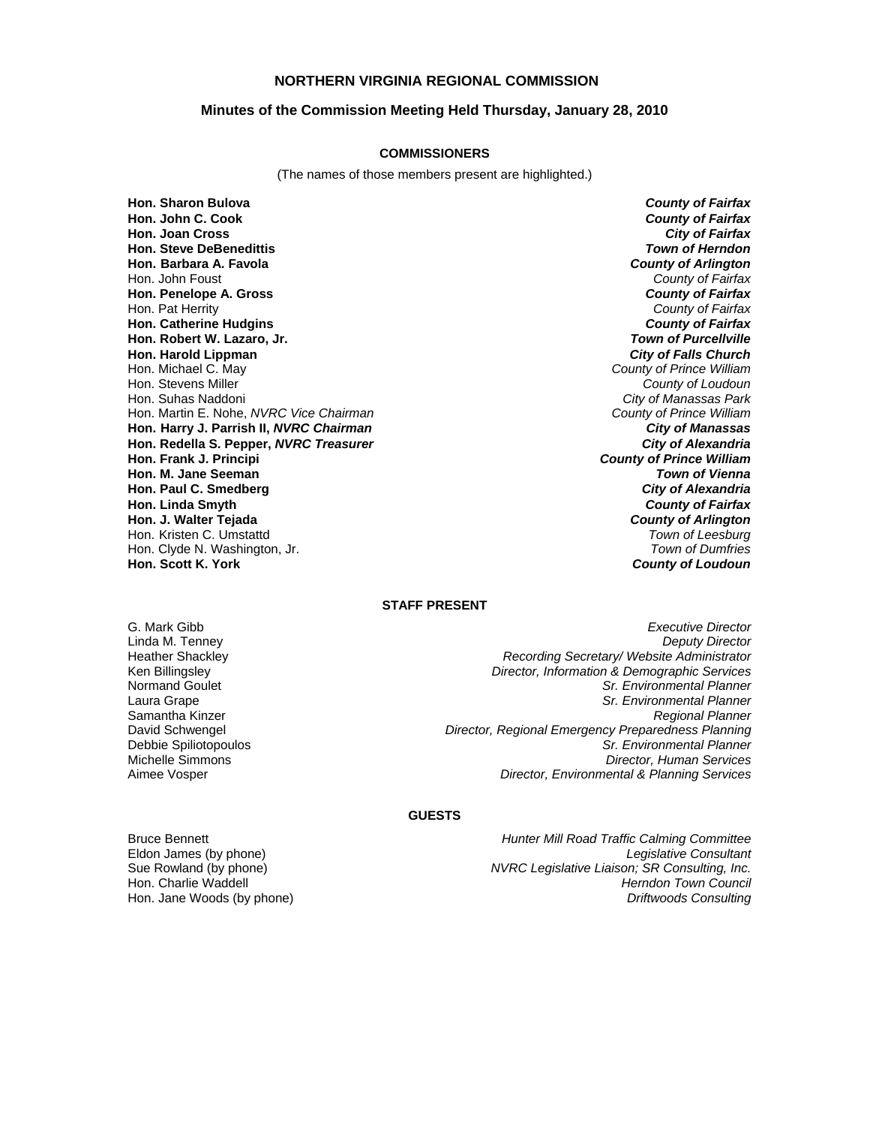### **NORTHERN VIRGINIA REGIONAL COMMISSION**

#### **Minutes of the Commission Meeting Held Thursday, January 28, 2010**

#### **COMMISSIONERS**

(The names of those members present are highlighted.)

**Hon. Sharon Bulova** *County of Fairfax* **Hon. Joan Cross Hon. Steve DeBenedittis** *Town of Herndon* **Hon. Barbara A. Favola** *County of Arlington* Hon. John Foust *County of Fairfax* **Hon. Penelope A. Gross** *County of Fairfax* Hon. Pat Herrity *County of Fairfax* **Hon. Catherine Hudgins** *County of Fairfax* **Hon. Robert W. Lazaro, Jr. Hon. Harold Lippman** *City of Falls Church* Hon. Michael C. May *County of Prince William* Hon. Stevens Miller *County of Loudoun* Hon. Martin E. Nohe, *NVRC Vice Chairman* **Hon. Harry J. Parrish II,** *NVRC Chairman City of Manassas* **Hon. Redella S. Pepper,** *NVRC Treasurer City of Alexandria* **Hon. Frank J. Principi** *County of Prince William* **Hon. M. Jane Seeman** *Town of Vienna* **Hon. Paul C. Smedberg** *City of Alexandria* **Hon. Linda Smyth** *County of Fairfax* **Hon. J. Walter Tejada** *County of Arlington* Hon. Kristen C. Umstattd *Town of Leesburg* Hon. Clyde N. Washington, Jr. **Hon. Scott K. York** 

**County of Fairfax**<br>City of Fairfax **City of Manassas Park**<br>County of Prince William **County of Loudoun** 

## **STAFF PRESENT**

G. Mark Gibb *Executive Director* Linda M. Tenney *Deputy Director* Heather Shackley *Recording Secretary/ Website Administrator* Ken Billingsley *Director, Information & Demographic Services* Normand Goulet *Sr. Environmental Planner* Laura Grape *Sr. Environmental Planner* Samantha Kinzer *Regional Planner* David Schwengel *Director, Regional Emergency Preparedness Planning* Debbie Spiliotopoulos *Sr. Environmental Planner* **Director, Human Services** Aimee Vosper *Director, Environmental & Planning Services*

#### **GUESTS**

Eldon James (by phone)

Bruce Bennett *Hunter Mill Road Traffic Calming Committee* Sue Rowland (by phone) *NVRC Legislative Liaison; SR Consulting, Inc.* Hon. Charlie Waddell *Herndon Town Council* Hon. Jane Woods (by phone) *Driftwoods Consulting*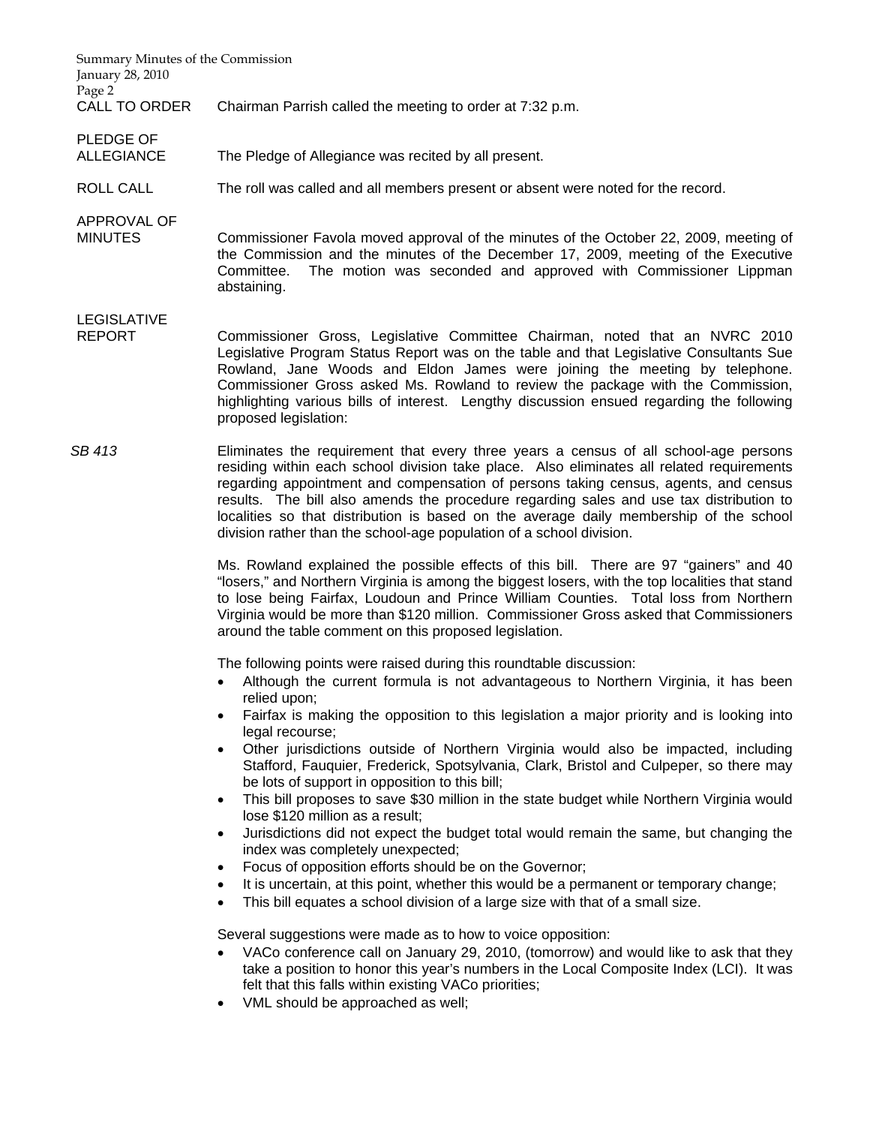| Summary Minutes of the Commission<br>January 28, 2010 |                                                                                                                                                                                                                                                                                                                                                                                                                                                                                                                                       |
|-------------------------------------------------------|---------------------------------------------------------------------------------------------------------------------------------------------------------------------------------------------------------------------------------------------------------------------------------------------------------------------------------------------------------------------------------------------------------------------------------------------------------------------------------------------------------------------------------------|
| Page 2<br><b>CALL TO ORDER</b>                        | Chairman Parrish called the meeting to order at 7:32 p.m.                                                                                                                                                                                                                                                                                                                                                                                                                                                                             |
| <b>PLEDGE OF</b><br><b>ALLEGIANCE</b>                 | The Pledge of Allegiance was recited by all present.                                                                                                                                                                                                                                                                                                                                                                                                                                                                                  |
| <b>ROLL CALL</b>                                      | The roll was called and all members present or absent were noted for the record.                                                                                                                                                                                                                                                                                                                                                                                                                                                      |
| APPROVAL OF<br><b>MINUTES</b>                         | Commissioner Favola moved approval of the minutes of the October 22, 2009, meeting of<br>the Commission and the minutes of the December 17, 2009, meeting of the Executive<br>The motion was seconded and approved with Commissioner Lippman<br>Committee.<br>abstaining.                                                                                                                                                                                                                                                             |
| <b>LEGISLATIVE</b><br><b>REPORT</b>                   | Commissioner Gross, Legislative Committee Chairman, noted that an NVRC 2010<br>Legislative Program Status Report was on the table and that Legislative Consultants Sue<br>Rowland, Jane Woods and Eldon James were joining the meeting by telephone.<br>Commissioner Gross asked Ms. Rowland to review the package with the Commission,<br>highlighting various bills of interest. Lengthy discussion ensued regarding the following<br>proposed legislation:                                                                         |
| SB 413                                                | Eliminates the requirement that every three years a census of all school-age persons<br>residing within each school division take place. Also eliminates all related requirements<br>regarding appointment and compensation of persons taking census, agents, and census<br>results. The bill also amends the procedure regarding sales and use tax distribution to<br>localities so that distribution is based on the average daily membership of the school<br>division rather than the school-age population of a school division. |

Ms. Rowland explained the possible effects of this bill. There are 97 "gainers" and 40 "losers," and Northern Virginia is among the biggest losers, with the top localities that stand to lose being Fairfax, Loudoun and Prince William Counties. Total loss from Northern Virginia would be more than \$120 million. Commissioner Gross asked that Commissioners around the table comment on this proposed legislation.

The following points were raised during this roundtable discussion:

- Although the current formula is not advantageous to Northern Virginia, it has been relied upon;
- Fairfax is making the opposition to this legislation a major priority and is looking into legal recourse;
- Other jurisdictions outside of Northern Virginia would also be impacted, including Stafford, Fauquier, Frederick, Spotsylvania, Clark, Bristol and Culpeper, so there may be lots of support in opposition to this bill;
- This bill proposes to save \$30 million in the state budget while Northern Virginia would lose \$120 million as a result;
- Jurisdictions did not expect the budget total would remain the same, but changing the index was completely unexpected;
- Focus of opposition efforts should be on the Governor;
- It is uncertain, at this point, whether this would be a permanent or temporary change;
- This bill equates a school division of a large size with that of a small size.

Several suggestions were made as to how to voice opposition:

- VACo conference call on January 29, 2010, (tomorrow) and would like to ask that they take a position to honor this year's numbers in the Local Composite Index (LCI). It was felt that this falls within existing VACo priorities;
- VML should be approached as well;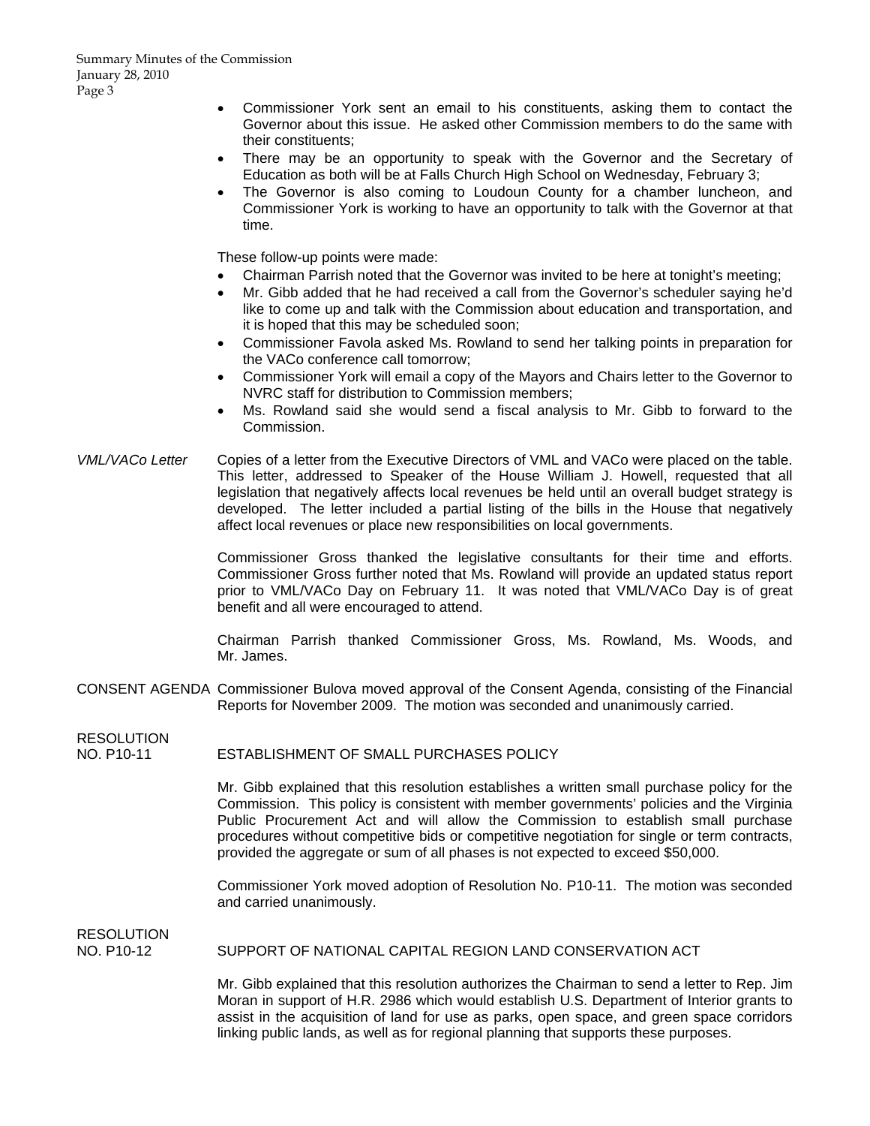- Commissioner York sent an email to his constituents, asking them to contact the Governor about this issue. He asked other Commission members to do the same with their constituents;
- There may be an opportunity to speak with the Governor and the Secretary of Education as both will be at Falls Church High School on Wednesday, February 3;
- The Governor is also coming to Loudoun County for a chamber luncheon, and Commissioner York is working to have an opportunity to talk with the Governor at that time.

These follow-up points were made:

- Chairman Parrish noted that the Governor was invited to be here at tonight's meeting;
- Mr. Gibb added that he had received a call from the Governor's scheduler saying he'd like to come up and talk with the Commission about education and transportation, and it is hoped that this may be scheduled soon;
- Commissioner Favola asked Ms. Rowland to send her talking points in preparation for the VACo conference call tomorrow;
- Commissioner York will email a copy of the Mayors and Chairs letter to the Governor to NVRC staff for distribution to Commission members;
- Ms. Rowland said she would send a fiscal analysis to Mr. Gibb to forward to the Commission.
- *VML/VACo Letter* Copies of a letter from the Executive Directors of VML and VACo were placed on the table. This letter, addressed to Speaker of the House William J. Howell, requested that all legislation that negatively affects local revenues be held until an overall budget strategy is developed. The letter included a partial listing of the bills in the House that negatively affect local revenues or place new responsibilities on local governments.

Commissioner Gross thanked the legislative consultants for their time and efforts. Commissioner Gross further noted that Ms. Rowland will provide an updated status report prior to VML/VACo Day on February 11. It was noted that VML/VACo Day is of great benefit and all were encouraged to attend.

Chairman Parrish thanked Commissioner Gross, Ms. Rowland, Ms. Woods, and Mr. James.

CONSENT AGENDA Commissioner Bulova moved approval of the Consent Agenda, consisting of the Financial Reports for November 2009. The motion was seconded and unanimously carried.

**RESOLUTION** 

NO. P10-11 ESTABLISHMENT OF SMALL PURCHASES POLICY

 Mr. Gibb explained that this resolution establishes a written small purchase policy for the Commission. This policy is consistent with member governments' policies and the Virginia Public Procurement Act and will allow the Commission to establish small purchase procedures without competitive bids or competitive negotiation for single or term contracts, provided the aggregate or sum of all phases is not expected to exceed \$50,000.

 Commissioner York moved adoption of Resolution No. P10-11. The motion was seconded and carried unanimously.

RESOLUTION

NO. P10-12 SUPPORT OF NATIONAL CAPITAL REGION LAND CONSERVATION ACT

 Mr. Gibb explained that this resolution authorizes the Chairman to send a letter to Rep. Jim Moran in support of H.R. 2986 which would establish U.S. Department of Interior grants to assist in the acquisition of land for use as parks, open space, and green space corridors linking public lands, as well as for regional planning that supports these purposes.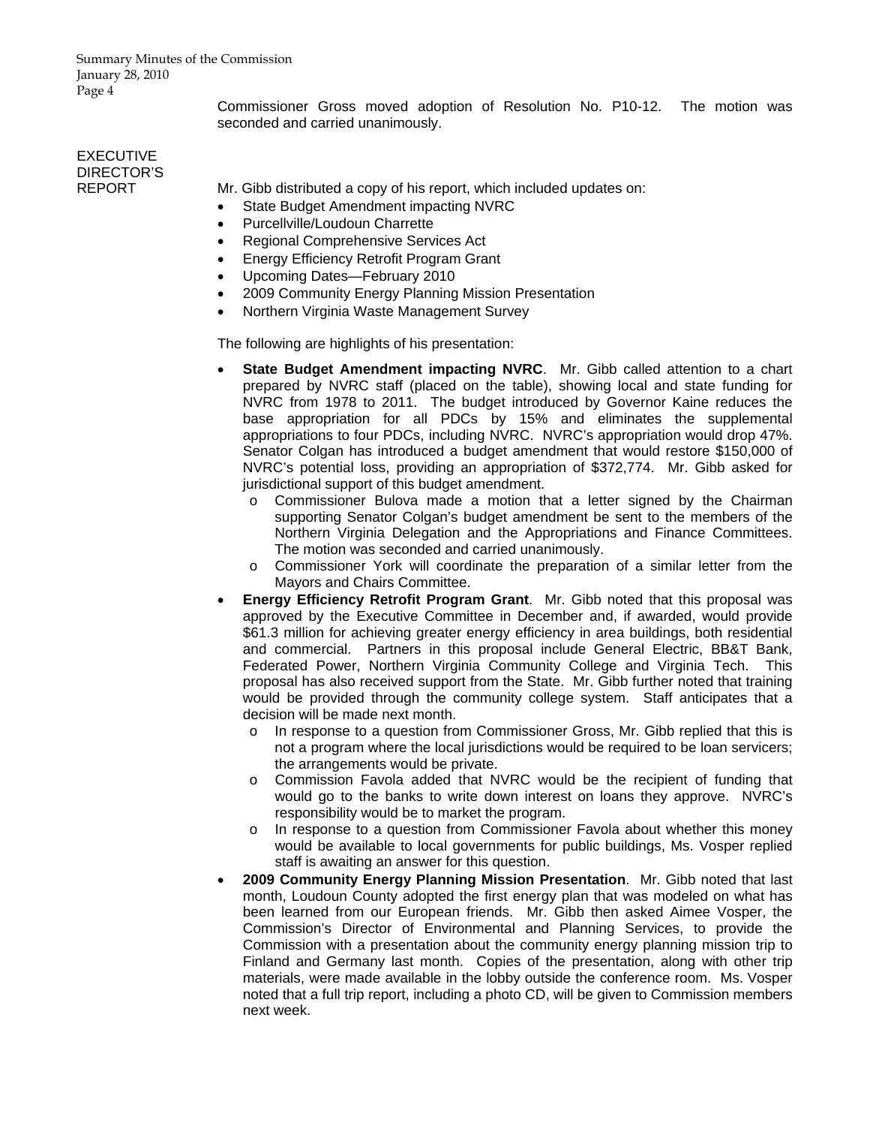Summary Minutes of the Commission January 28, 2010 Page 4

> Commissioner Gross moved adoption of Resolution No. P10-12. The motion was seconded and carried unanimously.

## EXECUTIVE DIRECTOR'S

REPORT Mr. Gibb distributed a copy of his report, which included updates on:

- State Budget Amendment impacting NVRC
- Purcellville/Loudoun Charrette
- Regional Comprehensive Services Act
- Energy Efficiency Retrofit Program Grant
- Upcoming Dates—February 2010
- 2009 Community Energy Planning Mission Presentation
- Northern Virginia Waste Management Survey

The following are highlights of his presentation:

- **State Budget Amendment impacting NVRC**. Mr. Gibb called attention to a chart prepared by NVRC staff (placed on the table), showing local and state funding for NVRC from 1978 to 2011. The budget introduced by Governor Kaine reduces the base appropriation for all PDCs by 15% and eliminates the supplemental appropriations to four PDCs, including NVRC. NVRC's appropriation would drop 47%. Senator Colgan has introduced a budget amendment that would restore \$150,000 of NVRC's potential loss, providing an appropriation of \$372,774. Mr. Gibb asked for jurisdictional support of this budget amendment.
	- o Commissioner Bulova made a motion that a letter signed by the Chairman supporting Senator Colgan's budget amendment be sent to the members of the Northern Virginia Delegation and the Appropriations and Finance Committees. The motion was seconded and carried unanimously.
	- o Commissioner York will coordinate the preparation of a similar letter from the Mayors and Chairs Committee.
- **Energy Efficiency Retrofit Program Grant**. Mr. Gibb noted that this proposal was approved by the Executive Committee in December and, if awarded, would provide \$61.3 million for achieving greater energy efficiency in area buildings, both residential and commercial. Partners in this proposal include General Electric, BB&T Bank, Federated Power, Northern Virginia Community College and Virginia Tech. This proposal has also received support from the State. Mr. Gibb further noted that training would be provided through the community college system. Staff anticipates that a decision will be made next month.
	- o In response to a question from Commissioner Gross, Mr. Gibb replied that this is not a program where the local jurisdictions would be required to be loan servicers; the arrangements would be private.
	- o Commission Favola added that NVRC would be the recipient of funding that would go to the banks to write down interest on loans they approve. NVRC's responsibility would be to market the program.
	- o In response to a question from Commissioner Favola about whether this money would be available to local governments for public buildings, Ms. Vosper replied staff is awaiting an answer for this question.
- **2009 Community Energy Planning Mission Presentation**. Mr. Gibb noted that last month, Loudoun County adopted the first energy plan that was modeled on what has been learned from our European friends. Mr. Gibb then asked Aimee Vosper, the Commission's Director of Environmental and Planning Services, to provide the Commission with a presentation about the community energy planning mission trip to Finland and Germany last month. Copies of the presentation, along with other trip materials, were made available in the lobby outside the conference room. Ms. Vosper noted that a full trip report, including a photo CD, will be given to Commission members next week.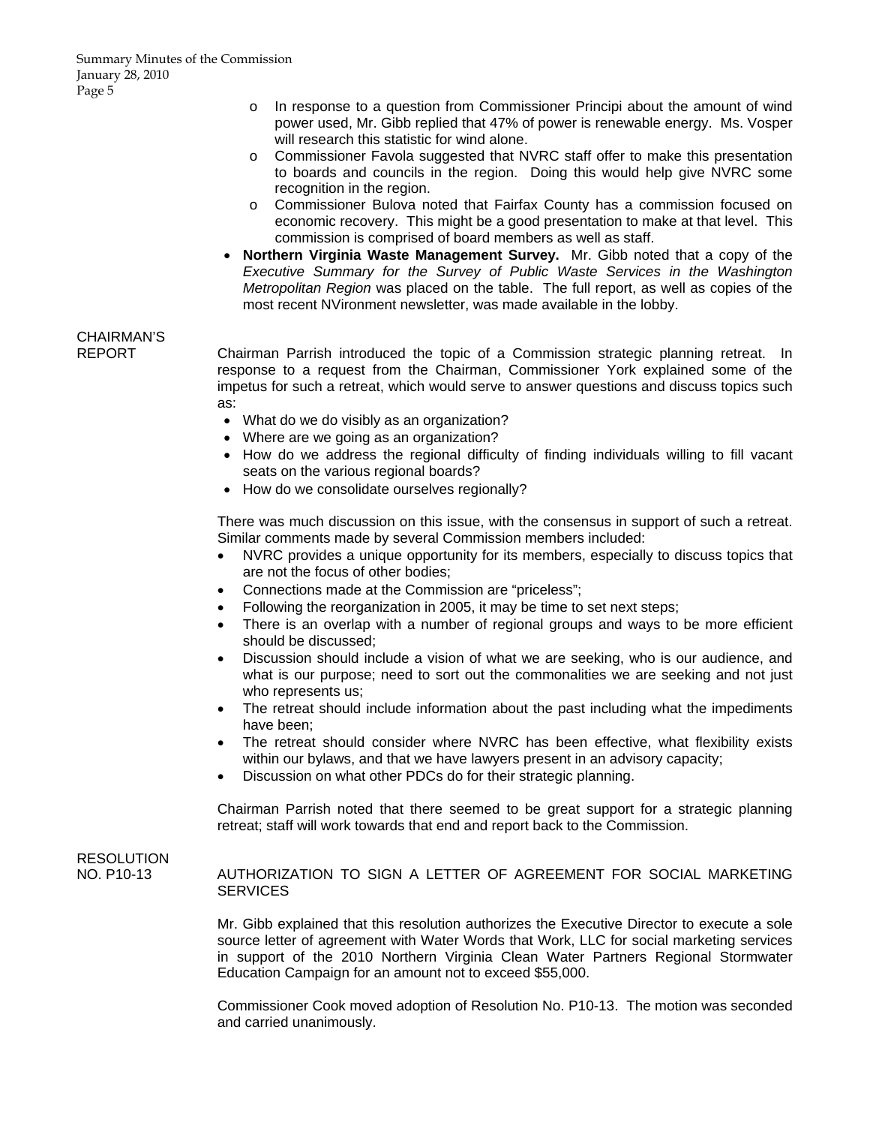- o In response to a question from Commissioner Principi about the amount of wind power used, Mr. Gibb replied that 47% of power is renewable energy. Ms. Vosper will research this statistic for wind alone.
- o Commissioner Favola suggested that NVRC staff offer to make this presentation to boards and councils in the region. Doing this would help give NVRC some recognition in the region.
- o Commissioner Bulova noted that Fairfax County has a commission focused on economic recovery. This might be a good presentation to make at that level. This commission is comprised of board members as well as staff.
- **Northern Virginia Waste Management Survey.** Mr. Gibb noted that a copy of the *Executive Summary for the Survey of Public Waste Services in the Washington Metropolitan Region* was placed on the table. The full report, as well as copies of the most recent NVironment newsletter, was made available in the lobby.

# CHAIRMAN'S

REPORT Chairman Parrish introduced the topic of a Commission strategic planning retreat. In response to a request from the Chairman, Commissioner York explained some of the impetus for such a retreat, which would serve to answer questions and discuss topics such as:

- What do we do visibly as an organization?
- Where are we going as an organization?
- How do we address the regional difficulty of finding individuals willing to fill vacant seats on the various regional boards?
- How do we consolidate ourselves regionally?

 There was much discussion on this issue, with the consensus in support of such a retreat. Similar comments made by several Commission members included:

- NVRC provides a unique opportunity for its members, especially to discuss topics that are not the focus of other bodies;
- Connections made at the Commission are "priceless";
- Following the reorganization in 2005, it may be time to set next steps;
- There is an overlap with a number of regional groups and ways to be more efficient should be discussed;
- Discussion should include a vision of what we are seeking, who is our audience, and what is our purpose; need to sort out the commonalities we are seeking and not just who represents us;
- The retreat should include information about the past including what the impediments have been;
- The retreat should consider where NVRC has been effective, what flexibility exists within our bylaws, and that we have lawyers present in an advisory capacity;
- Discussion on what other PDCs do for their strategic planning.

 Chairman Parrish noted that there seemed to be great support for a strategic planning retreat; staff will work towards that end and report back to the Commission.

# RESOLUTION

NO. P10-13 AUTHORIZATION TO SIGN A LETTER OF AGREEMENT FOR SOCIAL MARKETING **SERVICES** 

> Mr. Gibb explained that this resolution authorizes the Executive Director to execute a sole source letter of agreement with Water Words that Work, LLC for social marketing services in support of the 2010 Northern Virginia Clean Water Partners Regional Stormwater Education Campaign for an amount not to exceed \$55,000.

> Commissioner Cook moved adoption of Resolution No. P10-13. The motion was seconded and carried unanimously.